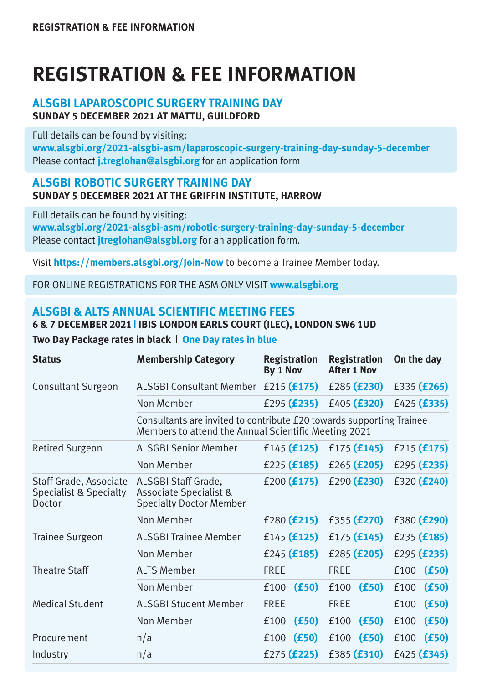# **REGISTRATION & FEE INFORMATION**

## **ALSGBI LAPAROSCOPIC SURGERY TRAINING DAY SUNDAY 5 DECEMBER 2021 AT MATTU, GUILDFORD**

Full details can be found by visiting:

**www.alsgbi.org/2021-alsgbi-asm/laparoscopic-surgery-training-day-sunday-5-december** Please contact **j.treglohan@alsgbi.org** for an application form

#### **ALSGBI ROBOTIC SURGERY TRAINING DAY SUNDAY 5 DECEMBER 2021 AT THE GRIFFIN INSTITUTE, HARROW**

Full details can be found by visiting: **www.alsgbi.org/2021-alsgbi-asm/robotic-surgery-training-day-sunday-5-december** Please contact **jtreglohan@alsgbi.org** for an application form.

Visit **https://members.alsgbi.org/Join-Now** to become a Trainee Member today.

FOR ONLINE REGISTRATIONS FOR THE ASM ONLY VISIT **www.alsgbi.org**

## **ALSGBI & ALTS ANNUAL SCIENTIFIC MEETING FEES 6 & 7 DECEMBER 2021 | IBIS LONDON EARLS COURT (ILEC), LONDON SW6 1UD**

**Two Day Package rates in black | One Day rates in blue**

| <b>Status</b>                                              | <b>Membership Category</b>                                                                                                   | <b>Registration</b><br>By 1 Nov | <b>Registration</b><br><b>After 1 Nov</b> | On the day             |
|------------------------------------------------------------|------------------------------------------------------------------------------------------------------------------------------|---------------------------------|-------------------------------------------|------------------------|
| Consultant Surgeon                                         | <b>ALSGBI Consultant Member</b>                                                                                              | £215 $(f175)$                   | £285 $(f230)$                             | £335 (£265)            |
|                                                            | Non Member                                                                                                                   | £295 $(f235)$                   | £405 $(f320)$                             | $f425$ ( <b>£335</b> ) |
|                                                            | Consultants are invited to contribute £20 towards supporting Trainee<br>Members to attend the Annual Scientific Meeting 2021 |                                 |                                           |                        |
| <b>Retired Surgeon</b>                                     | <b>ALSGBI Senior Member</b>                                                                                                  | £145 $(f125)$                   | £175 $(f145)$                             | £215 $(f175)$          |
|                                                            | Non Member                                                                                                                   | £225 $(f185)$                   | £265 $(f205)$                             | £295 $(f235)$          |
| Staff Grade, Associate<br>Specialist & Specialty<br>Doctor | ALSGBI Staff Grade,<br><b>Associate Specialist &amp;</b><br><b>Specialty Doctor Member</b>                                   | £200 $(f175)$                   | £290 $(f230)$                             | £320 $(E240)$          |
|                                                            | Non Member                                                                                                                   | $£280$ (£215)                   | £355 $(f270)$                             | £380 (£290)            |
| <b>Trainee Surgeon</b>                                     | <b>ALSGBI Trainee Member</b>                                                                                                 | £145 $(f125)$                   | £175 $(f145)$                             | £235 $(f185)$          |
|                                                            | Non Member                                                                                                                   | £245 $(f185)$                   | £285 $(f205)$                             | £295 $(f235)$          |
| <b>Theatre Staff</b>                                       | ALTS Member                                                                                                                  | <b>FRFF</b>                     | <b>FRFF</b>                               | (E50)<br>£100          |
|                                                            | Non Member                                                                                                                   | (E50)<br>£100                   | (f50)<br>£100                             | (f50)<br>£100          |
| <b>Medical Student</b>                                     | <b>ALSGBI Student Member</b>                                                                                                 | <b>FRFF</b>                     | <b>FRFF</b>                               | (f50)<br>£100          |
|                                                            | Non Member                                                                                                                   | (f50)<br>£100                   | (f50)<br>£100                             | (f50)<br>£100          |
| Procurement                                                | n/a                                                                                                                          | (E50)<br>£100                   | (E50)<br>£100                             | (f50)<br>£100          |
| Industry                                                   | n/a                                                                                                                          | £275 (£225)                     | £385 (£310)                               | £425 $(f345)$          |